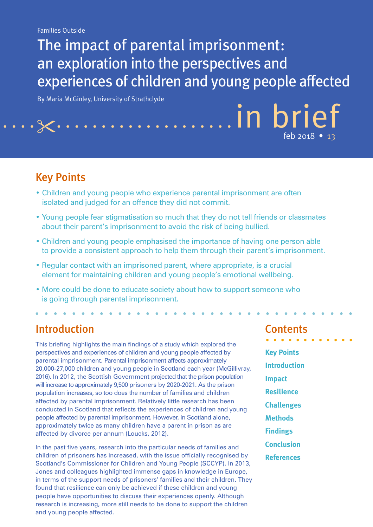The impact of parental imprisonment: an exploration into the perspectives and experiences of children and young people affected

By Maria McGinley, University of Strathclyde

## Key Points

 $\cdot$   $\times$   $\cdot$   $\cdot$ 

- Children and young people who experience parental imprisonment are often isolated and judged for an offence they did not commit.
- Young people fear stigmatisation so much that they do not tell friends or classmates about their parent's imprisonment to avoid the risk of being bullied.
- Children and young people emphasised the importance of having one person able to provide a consistent approach to help them through their parent's imprisonment.
- Regular contact with an imprisoned parent, where appropriate, is a crucial element for maintaining children and young people's emotional wellbeing.
- More could be done to educate society about how to support someone who is going through parental imprisonment.

### Introduction

This briefing highlights the main findings of a study which explored the perspectives and experiences of children and young people affected by parental imprisonment. Parental imprisonment affects approximately 20,000-27,000 children and young people in Scotland each year (McGillivray, 2016). In 2012, the Scottish Government projected that the prison population will increase to approximately 9,500 prisoners by 2020-2021. As the prison population increases, so too does the number of families and children affected by parental imprisonment. Relatively little research has been conducted in Scotland that reflects the experiences of children and young people affected by parental imprisonment. However, in Scotland alone, approximately twice as many children have a parent in prison as are affected by divorce per annum (Loucks, 2012).

In the past five years, research into the particular needs of families and children of prisoners has increased, with the issue officially recognised by Scotland's Commissioner for Children and Young People (SCCYP). In 2013, Jones and colleagues highlighted immense gaps in knowledge in Europe, in terms of the support needs of prisoners' families and their children. They found that resilience can only be achieved if these children and young people have opportunities to discuss their experiences openly. Although research is increasing, more still needs to be done to support the children and young people affected.

#### **Contents**

in brief

feb 2018 • 13

**Key Points Introduction Impact Resilience Challenges Methods Findings Conclusion References**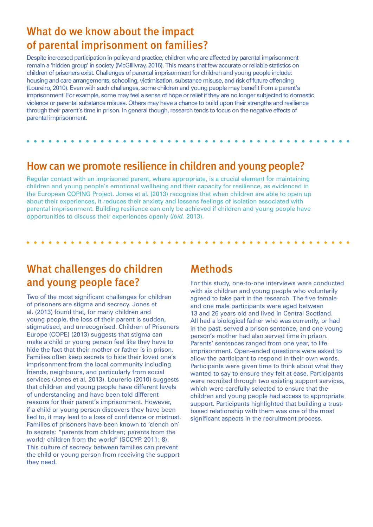### What do we know about the impact of parental imprisonment on families?

Despite increased participation in policy and practice, children who are affected by parental imprisonment remain a 'hidden group' in society (McGillivray, 2016). This means that few accurate or reliable statistics on children of prisoners exist. Challenges of parental imprisonment for children and young people include: housing and care arrangements, schooling, victimisation, substance misuse, and risk of future offending (Loureiro, 2010). Even with such challenges, some children and young people may benefit from a parent's imprisonment. For example, some may feel a sense of hope or relief if they are no longer subjected to domestic violence or parental substance misuse. Others may have a chance to build upon their strengths and resilience through their parent's time in prison. In general though, research tends to focus on the negative effects of parental imprisonment.

#### How can we promote resilience in children and young people?

Regular contact with an imprisoned parent, where appropriate, is a crucial element for maintaining children and young people's emotional wellbeing and their capacity for resilience, as evidenced in the European COPING Project. Jones et al. (2013) recognise that when children are able to open up about their experiences, it reduces their anxiety and lessens feelings of isolation associated with parental imprisonment. Building resilience can only be achieved if children and young people have opportunities to discuss their experiences openly (*ibid.* 2013).

## What challenges do children and young people face?

Two of the most significant challenges for children of prisoners are stigma and secrecy. Jones et al. (2013) found that, for many children and young people, the loss of their parent is sudden, stigmatised, and unrecognised. Children of Prisoners Europe (COPE) (2013) suggests that stigma can make a child or young person feel like they have to hide the fact that their mother or father is in prison. Families often keep secrets to hide their loved one's imprisonment from the local community including friends, neighbours, and particularly from social services (Jones et al, 2013). Lourerio (2010) suggests that children and young people have different levels of understanding and have been told different reasons for their parent's imprisonment. However, if a child or young person discovers they have been lied to, it may lead to a loss of confidence or mistrust. Families of prisoners have been known to 'clench on' to secrets: "parents from children; parents from the world; children from the world" (SCCYP, 2011: 8). This culture of secrecy between families can prevent the child or young person from receiving the support they need.

### **Methods**

For this study, one-to-one interviews were conducted with six children and young people who voluntarily agreed to take part in the research. The five female and one male participants were aged between 13 and 26 years old and lived in Central Scotland. All had a biological father who was currently, or had in the past, served a prison sentence, and one young person's mother had also served time in prison. Parents' sentences ranged from one year, to life imprisonment. Open-ended questions were asked to allow the participant to respond in their own words. Participants were given time to think about what they wanted to say to ensure they felt at ease. Participants were recruited through two existing support services, which were carefully selected to ensure that the children and young people had access to appropriate support. Participants highlighted that building a trustbased relationship with them was one of the most significant aspects in the recruitment process.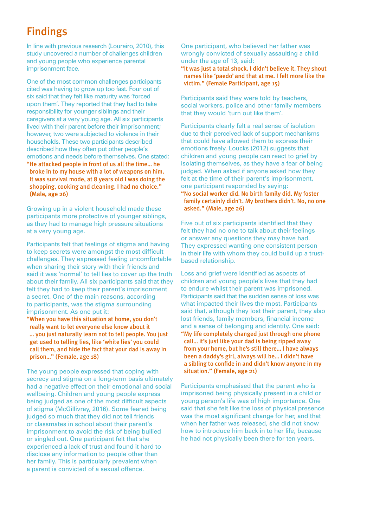# Findings

In line with previous research (Loureiro, 2010), this study uncovered a number of challenges children and young people who experience parental imprisonment face.

One of the most common challenges participants cited was having to grow up too fast. Four out of six said that they felt like maturity was 'forced upon them'. They reported that they had to take responsibility for younger siblings and their caregivers at a very young age. All six participants lived with their parent before their imprisonment; however, two were subjected to violence in their households. These two participants described described how they often put other people's emotions and needs before themselves. One stated: "He attacked people in front of us all the time… he broke in to my house with a lot of weapons on him. It was survival mode, at 8 years old I was doing the shopping, cooking and cleaning. I had no choice." (Male, age 26)

Growing up in a violent household made these participants more protective of younger siblings, as they had to manage high pressure situations at a very young age.

Participants felt that feelings of stigma and having to keep secrets were amongst the most difficult challenges. They expressed feeling uncomfortable when sharing their story with their friends and said it was 'normal' to tell lies to cover up the truth about their family. All six participants said that they felt they had to keep their parent's imprisonment a secret. One of the main reasons, according to participants, was the stigma surrounding imprisonment. As one put it:

"When you have this situation at home, you don't really want to let everyone else know about it … you just naturally learn not to tell people. You just get used to telling lies, like 'white lies' you could call them, and hide the fact that your dad is away in prison…" (Female, age 18)

The young people expressed that coping with secrecy and stigma on a long-term basis ultimately had a negative effect on their emotional and social wellbeing. Children and young people express being judged as one of the most difficult aspects of stigma (McGillivray, 2016). Some feared being judged so much that they did not tell friends or classmates in school about their parent's imprisonment to avoid the risk of being bullied or singled out. One participant felt that she experienced a lack of trust and found it hard to disclose any information to people other than her family. This is particularly prevalent when a parent is convicted of a sexual offence.

One participant, who believed her father was wrongly convicted of sexually assaulting a child under the age of 13, said:

"It was just a total shock. I didn't believe it. They shout names like 'paedo' and that at me. I felt more like the victim." (Female Participant, age 15)

Participants said they were told by teachers, social workers, police and other family members that they would 'turn out like them'.

Participants clearly felt a real sense of isolation due to their perceived lack of support mechanisms that could have allowed them to express their emotions freely. Loucks (2012) suggests that children and young people can react to grief by isolating themselves, as they have a fear of being judged. When asked if anyone asked how they felt at the time of their parent's imprisonment, one participant responded by saying: "No social worker did. No birth family did. My foster family certainly didn't. My brothers didn't. No, no one asked." (Male, age 26)

Five out of six participants identified that they felt they had no one to talk about their feelings or answer any questions they may have had. They expressed wanting one consistent person in their life with whom they could build up a trustbased relationship.

Loss and grief were identified as aspects of children and young people's lives that they had to endure whilst their parent was imprisoned. Participants said that the sudden sense of loss was what impacted their lives the most. Participants said that, although they lost their parent, they also lost friends, family members, financial income and a sense of belonging and identity. One said: "My life completely changed just through one phone call… it's just like your dad is being ripped away from your home, but he's still there… I have always been a daddy's girl, always will be… I didn't have a sibling to confide in and didn't know anyone in my situation." (Female, age 21)

Participants emphasised that the parent who is imprisoned being physically present in a child or young person's life was of high importance. One said that she felt like the loss of physical presence was the most significant change for her, and that when her father was released, she did not know how to introduce him back in to her life, because he had not physically been there for ten years.